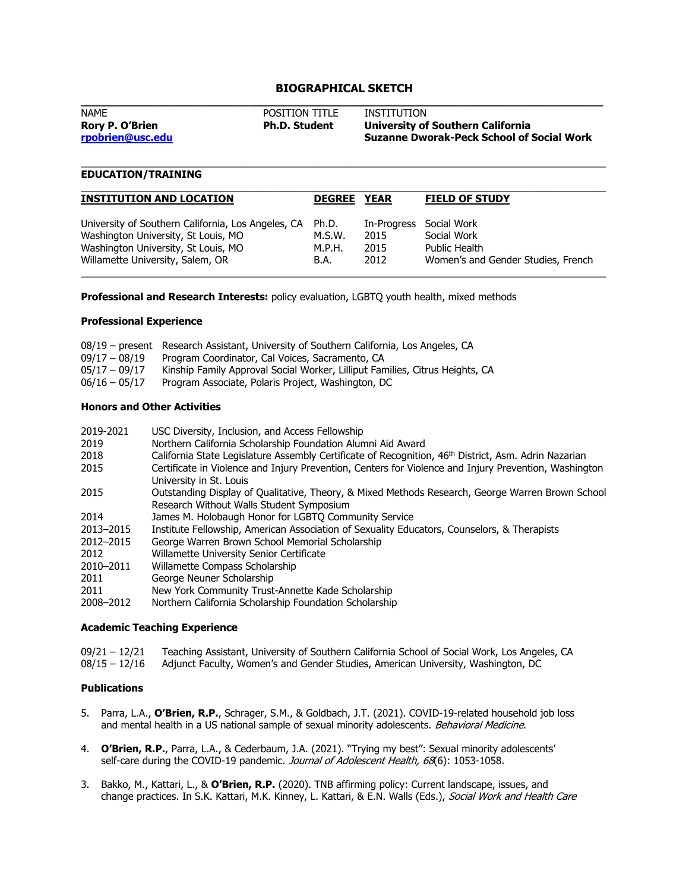# **BIOGRAPHICAL SKETCH**

| <b>NAME</b>            | <b>POSITION TITLE</b> | INSTITUTION                                      |
|------------------------|-----------------------|--------------------------------------------------|
| <b>Rory P. O'Brien</b> | <b>Ph.D. Student</b>  | University of Southern California                |
| rpobrien@usc.edu       |                       | <b>Suzanne Dworak-Peck School of Social Work</b> |
|                        |                       |                                                  |

\_\_\_\_\_\_\_\_\_\_\_\_\_\_\_\_\_\_\_\_\_\_\_\_\_\_\_\_\_\_\_\_\_\_\_\_\_\_\_\_\_\_\_\_\_\_\_\_\_\_\_\_\_\_\_\_\_\_\_\_\_\_\_\_\_\_\_\_\_\_\_\_\_\_\_\_\_\_\_\_\_\_\_\_\_\_\_\_\_\_\_\_\_\_\_

## **EDUCATION/TRAINING**

| <b>INSTITUTION AND LOCATION</b>                    | <b>DEGREE</b> | <b>YEAR</b> | <b>FIELD OF STUDY</b>              |
|----------------------------------------------------|---------------|-------------|------------------------------------|
| University of Southern California, Los Angeles, CA | Ph.D.         | In-Progress | Social Work                        |
| Washington University, St Louis, MO                | M.S.W.        | 2015        | Social Work                        |
| Washington University, St Louis, MO                | M.P.H.        | 2015        | Public Health                      |
| Willamette University, Salem, OR                   | B.A.          | 2012        | Women's and Gender Studies, French |

**Professional and Research Interests:** policy evaluation, LGBTQ youth health, mixed methods

### **Professional Experience**

|                 | 08/19 – present Research Assistant, University of Southern California, Los Angeles, CA |
|-----------------|----------------------------------------------------------------------------------------|
| 09/17 - 08/19   | Program Coordinator, Cal Voices, Sacramento, CA                                        |
| $05/17 - 09/17$ | Kinship Family Approval Social Worker, Lilliput Families, Citrus Heights, CA           |
| $06/16 - 05/17$ | Program Associate, Polaris Project, Washington, DC                                     |

#### **Honors and Other Activities**

| 2019-2021 | USC Diversity, Inclusion, and Access Fellowship                                                                                  |
|-----------|----------------------------------------------------------------------------------------------------------------------------------|
| 2019      | Northern California Scholarship Foundation Alumni Aid Award                                                                      |
| 2018      | California State Legislature Assembly Certificate of Recognition, 46 <sup>th</sup> District, Asm. Adrin Nazarian                 |
| 2015      | Certificate in Violence and Injury Prevention, Centers for Violence and Injury Prevention, Washington<br>University in St. Louis |
| 2015      | Outstanding Display of Qualitative, Theory, & Mixed Methods Research, George Warren Brown School                                 |
|           | Research Without Walls Student Symposium                                                                                         |
| 2014      | James M. Holobaugh Honor for LGBTO Community Service                                                                             |
| 2013-2015 | Institute Fellowship, American Association of Sexuality Educators, Counselors, & Therapists                                      |
| 2012-2015 | George Warren Brown School Memorial Scholarship                                                                                  |
| 2012      | Willamette University Senior Certificate                                                                                         |
| 2010-2011 | Willamette Compass Scholarship                                                                                                   |
| 2011      | George Neuner Scholarship                                                                                                        |
| 2011      | New York Community Trust-Annette Kade Scholarship                                                                                |
| 2008-2012 | Northern California Scholarship Foundation Scholarship                                                                           |

# **Academic Teaching Experience**

09/21 – 12/21 Teaching Assistant, University of Southern California School of Social Work, Los Angeles, CA<br>08/15 – 12/16 Adjunct Faculty, Women's and Gender Studies, American University, Washington, DC Adjunct Faculty, Women's and Gender Studies, American University, Washington, DC

### **Publications**

- 5. Parra, L.A., **O'Brien, R.P.**, Schrager, S.M., & Goldbach, J.T. (2021). COVID-19-related household job loss and mental health in a US national sample of sexual minority adolescents. Behavioral Medicine.
- 4. **O'Brien, R.P.**, Parra, L.A., & Cederbaum, J.A. (2021). "Trying my best": Sexual minority adolescents' self-care during the COVID-19 pandemic. Journal of Adolescent Health, 68(6): 1053-1058.
- 3. Bakko, M., Kattari, L., & **O'Brien, R.P.** (2020). TNB affirming policy: Current landscape, issues, and change practices. In S.K. Kattari, M.K. Kinney, L. Kattari, & E.N. Walls (Eds.), Social Work and Health Care